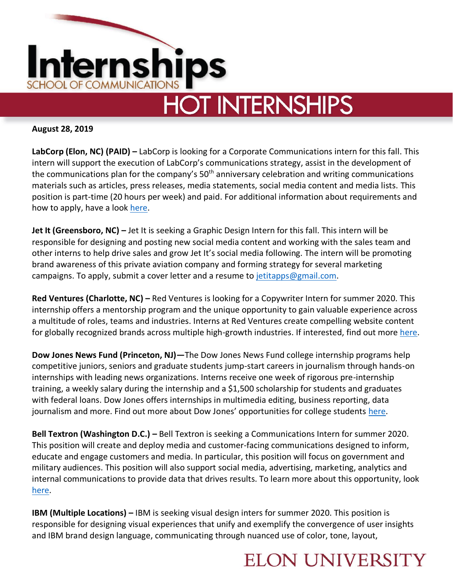

**August 28, 2019**

**LabCorp (Elon, NC) (PAID) –** LabCorp is looking for a Corporate Communications intern for this fall. This intern will support the execution of LabCorp's communications strategy, assist in the development of the communications plan for the company's  $50<sup>th</sup>$  anniversary celebration and writing communications materials such as articles, press releases, media statements, social media content and media lists. This position is part-time (20 hours per week) and paid. For additional information about requirements and how to apply, have a look [here.](https://jobs.labcorp.com/job/burlington/student-internship-corporate-communications/668/12911743)

**Jet It (Greensboro, NC) –** Jet It is seeking a Graphic Design Intern for this fall. This intern will be responsible for designing and posting new social media content and working with the sales team and other interns to help drive sales and grow Jet It's social media following. The intern will be promoting brand awareness of this private aviation company and forming strategy for several marketing campaigns. To apply, submit a cover letter and a resume to [jetitapps@gmail.com.](mailto:jetitapps@gmail.com)

**Red Ventures (Charlotte, NC) –** Red Ventures is looking for a Copywriter Intern for summer 2020. This internship offers a mentorship program and the unique opportunity to gain valuable experience across a multitude of roles, teams and industries. Interns at Red Ventures create compelling website content for globally recognized brands across multiple high-growth industries. If interested, find out more [here.](https://boards.greenhouse.io/embed/job_app?token=1756043)

**Dow Jones News Fund (Princeton, NJ)—**The Dow Jones News Fund college internship programs help competitive juniors, seniors and graduate students jump-start careers in journalism through hands-on internships with leading news organizations. Interns receive one week of rigorous pre-internship training, a weekly salary during the internship and a \$1,500 scholarship for students and graduates with federal loans. Dow Jones offers internships in multimedia editing, business reporting, data journalism and more. Find out more about Dow Jones' opportunities for college students [here.](https://dowjonesnewsfund.org/participate/programs/)

**Bell Textron (Washington D.C.) –** Bell Textron is seeking a Communications Intern for summer 2020. This position will create and deploy media and customer-facing communications designed to inform, educate and engage customers and media. In particular, this position will focus on government and military audiences. This position will also support social media, advertising, marketing, analytics and internal communications to provide data that drives results. To learn more about this opportunity, look [here.](https://textron.taleo.net/careersection/bell/jobdetail.ftl?job=275796&tz=GMT-04%3A00&tzname=America%2FNew_York)

**IBM (Multiple Locations) –** IBM is seeking visual design inters for summer 2020. This position is responsible for designing visual experiences that unify and exemplify the convergence of user insights and IBM brand design language, communicating through nuanced use of color, tone, layout,

## **ELON UNIVERSITY**